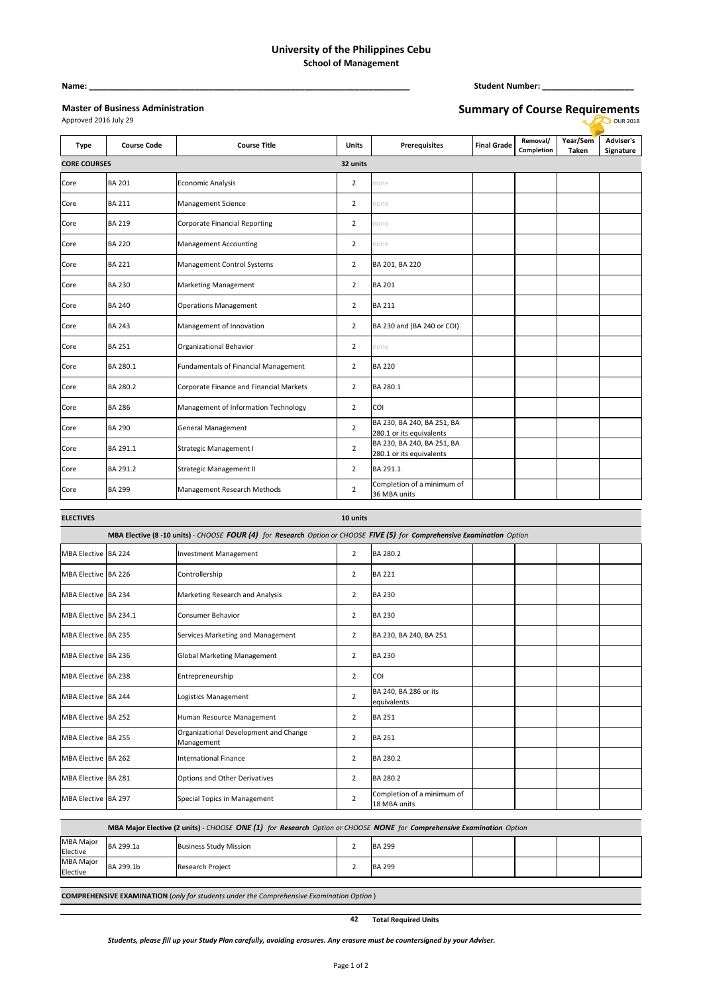## **University of the Philippines Cebu School of Management**

## **Master of Business Administration**

**Name: \_\_\_\_\_\_\_\_\_\_\_\_\_\_\_\_\_\_\_\_\_\_\_\_\_\_\_\_\_\_\_\_\_\_\_\_\_\_\_\_\_\_\_\_\_\_\_\_\_\_\_\_\_\_\_\_\_\_\_\_\_\_\_\_\_\_\_\_\_\_ Student Number: \_\_\_\_\_\_\_\_\_\_\_\_\_\_\_\_\_\_\_\_**

| <b>Master of Business Administration</b> |  |
|------------------------------------------|--|
| Approved 2016 July 29                    |  |

**Summary of Course Requirements OUR 2018** 

| <b>Type</b>         | <b>Course Code</b> | <b>Course Title</b>                     | <b>Units</b>   | <b>Prerequisites</b>                                   | <b>Final Grade</b> | Removal/<br>Completion | Year/Sem<br>Taken | <b>Adviser's</b><br>Signature |
|---------------------|--------------------|-----------------------------------------|----------------|--------------------------------------------------------|--------------------|------------------------|-------------------|-------------------------------|
| <b>CORE COURSES</b> |                    |                                         | 32 units       |                                                        |                    |                        |                   |                               |
| Core                | <b>BA 201</b>      | <b>Economic Analysis</b>                | $\overline{2}$ | none                                                   |                    |                        |                   |                               |
| Core                | <b>BA 211</b>      | Management Science                      | $\overline{2}$ | none                                                   |                    |                        |                   |                               |
| Core                | <b>BA 219</b>      | <b>Corporate Financial Reporting</b>    | $\overline{2}$ | none                                                   |                    |                        |                   |                               |
| Core                | <b>BA 220</b>      | <b>Management Accounting</b>            | $\overline{2}$ | none                                                   |                    |                        |                   |                               |
| Core                | <b>BA 221</b>      | Management Control Systems              | $\overline{2}$ | BA 201, BA 220                                         |                    |                        |                   |                               |
| Core                | <b>BA 230</b>      | <b>Marketing Management</b>             | $\overline{2}$ | <b>BA 201</b>                                          |                    |                        |                   |                               |
| Core                | <b>BA 240</b>      | <b>Operations Management</b>            | $\overline{2}$ | <b>BA 211</b>                                          |                    |                        |                   |                               |
| Core                | <b>BA 243</b>      | Management of Innovation                | $\overline{2}$ | BA 230 and (BA 240 or COI)                             |                    |                        |                   |                               |
| Core                | <b>BA 251</b>      | Organizational Behavior                 | $\overline{2}$ | none                                                   |                    |                        |                   |                               |
| Core                | BA 280.1           | Fundamentals of Financial Management    | $\overline{2}$ | <b>BA 220</b>                                          |                    |                        |                   |                               |
| Core                | BA 280.2           | Corporate Finance and Financial Markets | $\overline{2}$ | BA 280.1                                               |                    |                        |                   |                               |
| Core                | <b>BA 286</b>      | Management of Information Technology    | $\overline{2}$ | COI                                                    |                    |                        |                   |                               |
| Core                | <b>BA 290</b>      | General Management                      | $\overline{2}$ | BA 230, BA 240, BA 251, BA<br>280.1 or its equivalents |                    |                        |                   |                               |
| Core                | BA 291.1           | Strategic Management I                  | $\overline{2}$ | BA 230, BA 240, BA 251, BA<br>280.1 or its equivalents |                    |                        |                   |                               |
| Core                | BA 291.2           | <b>Strategic Management II</b>          | $\overline{2}$ | BA 291.1                                               |                    |                        |                   |                               |
| Core                | <b>BA 299</b>      | Management Research Methods             | $\overline{2}$ | Completion of a minimum of<br>36 MBA units             |                    |                        |                   |                               |

| <b>ELECTIVES</b>      |                                                                                                                         |                                                     | 10 units       |                                            |  |  |  |  |
|-----------------------|-------------------------------------------------------------------------------------------------------------------------|-----------------------------------------------------|----------------|--------------------------------------------|--|--|--|--|
|                       | MBA Elective (8-10 units) - CHOOSE FOUR (4) for Research Option or CHOOSE FIVE (5) for Comprehensive Examination Option |                                                     |                |                                            |  |  |  |  |
| MBA Elective BA 224   |                                                                                                                         | <b>Investment Management</b>                        | $\overline{2}$ | BA 280.2                                   |  |  |  |  |
| MBA Elective BA 226   |                                                                                                                         | Controllership                                      | $\overline{2}$ | <b>BA 221</b>                              |  |  |  |  |
| MBA Elective BA 234   |                                                                                                                         | Marketing Research and Analysis                     | 2              | <b>BA 230</b>                              |  |  |  |  |
| MBA Elective BA 234.1 |                                                                                                                         | <b>Consumer Behavior</b>                            | 2              | <b>BA 230</b>                              |  |  |  |  |
| MBA Elective BA 235   |                                                                                                                         | Services Marketing and Management                   | $\overline{2}$ | BA 230, BA 240, BA 251                     |  |  |  |  |
| MBA Elective BA 236   |                                                                                                                         | <b>Global Marketing Management</b>                  | 2              | <b>BA 230</b>                              |  |  |  |  |
| MBA Elective BA 238   |                                                                                                                         | Entrepreneurship                                    | $\overline{2}$ | COI                                        |  |  |  |  |
| MBA Elective BA 244   |                                                                                                                         | Logistics Management                                | $\overline{2}$ | BA 240, BA 286 or its<br>equivalents       |  |  |  |  |
| MBA Elective BA 252   |                                                                                                                         | Human Resource Management                           | 2              | <b>BA 251</b>                              |  |  |  |  |
| MBA Elective BA 255   |                                                                                                                         | Organizational Development and Change<br>Management | $\overline{2}$ | <b>BA 251</b>                              |  |  |  |  |
| MBA Elective BA 262   |                                                                                                                         | <b>International Finance</b>                        | 2              | BA 280.2                                   |  |  |  |  |
| MBA Elective BA 281   |                                                                                                                         | Options and Other Derivatives                       | 2              | BA 280.2                                   |  |  |  |  |
| MBA Elective BA 297   |                                                                                                                         | Special Topics in Management                        | 2              | Completion of a minimum of<br>18 MBA units |  |  |  |  |

| MBA Maior Elective (2 units) - CHOOSE ONE (1) for Research Option or CHOOSE NONE for Comprehensive Examination Option |           |                               |  |               |  |  |  |  |
|-----------------------------------------------------------------------------------------------------------------------|-----------|-------------------------------|--|---------------|--|--|--|--|
| <b>MBA Major</b><br>Elective                                                                                          | BA 299.1a | <b>Business Study Mission</b> |  | <b>BA 299</b> |  |  |  |  |
| MBA Major<br>Elective                                                                                                 | BA 299.1b | <b>Research Project</b>       |  | <b>BA 299</b> |  |  |  |  |

**COMPREHENSIVE EXAMINATION** (*only for students under the Comprehensive Examination Option* )

**42 Total Required Units**